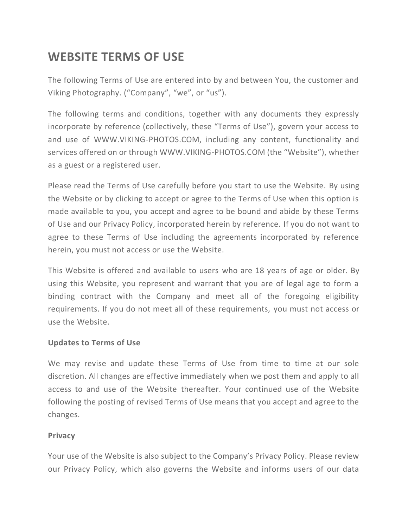# **WEBSITE TERMS OF USE**

The following Terms of Use are entered into by and between You, the customer and Viking Photography. ("Company", "we", or "us").

The following terms and conditions, together with any documents they expressly incorporate by reference (collectively, these "Terms of Use"), govern your access to and use of WWW.VIKING-PHOTOS.COM, including any content, functionality and services offered on or through WWW.VIKING-PHOTOS.COM (the "Website"), whether as a guest or a registered user.

Please read the Terms of Use carefully before you start to use the Website. By using the Website or by clicking to accept or agree to the Terms of Use when this option is made available to you, you accept and agree to be bound and abide by these Terms of Use and our Privacy Policy, incorporated herein by reference. If you do not want to agree to these Terms of Use including the agreements incorporated by reference herein, you must not access or use the Website.

This Website is offered and available to users who are 18 years of age or older. By using this Website, you represent and warrant that you are of legal age to form a binding contract with the Company and meet all of the foregoing eligibility requirements. If you do not meet all of these requirements, you must not access or use the Website.

## **Updates to Terms of Use**

We may revise and update these Terms of Use from time to time at our sole discretion. All changes are effective immediately when we post them and apply to all access to and use of the Website thereafter. Your continued use of the Website following the posting of revised Terms of Use means that you accept and agree to the changes.

## **Privacy**

Your use of the Website is also subject to the Company's Privacy Policy. Please review our Privacy Policy, which also governs the Website and informs users of our data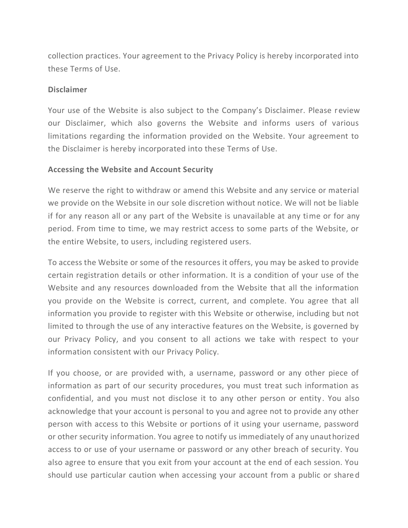collection practices. Your agreement to the Privacy Policy is hereby incorporated into these Terms of Use.

#### **Disclaimer**

Your use of the Website is also subject to the Company's Disclaimer. Please review our Disclaimer, which also governs the Website and informs users of various limitations regarding the information provided on the Website. Your agreement to the Disclaimer is hereby incorporated into these Terms of Use.

## **Accessing the Website and Account Security**

We reserve the right to withdraw or amend this Website and any service or material we provide on the Website in our sole discretion without notice. We will not be liable if for any reason all or any part of the Website is unavailable at any time or for any period. From time to time, we may restrict access to some parts of the Website, or the entire Website, to users, including registered users.

To access the Website or some of the resources it offers, you may be asked to provide certain registration details or other information. It is a condition of your use of the Website and any resources downloaded from the Website that all the information you provide on the Website is correct, current, and complete. You agree that all information you provide to register with this Website or otherwise, including but not limited to through the use of any interactive features on the Website, is governed by our Privacy Policy, and you consent to all actions we take with respect to your information consistent with our Privacy Policy.

If you choose, or are provided with, a username, password or any other piece of information as part of our security procedures, you must treat such information as confidential, and you must not disclose it to any other person or entity. You also acknowledge that your account is personal to you and agree not to provide any other person with access to this Website or portions of it using your username, password or other security information. You agree to notify us immediately of any unauthorized access to or use of your username or password or any other breach of security. You also agree to ensure that you exit from your account at the end of each session. You should use particular caution when accessing your account from a public or shared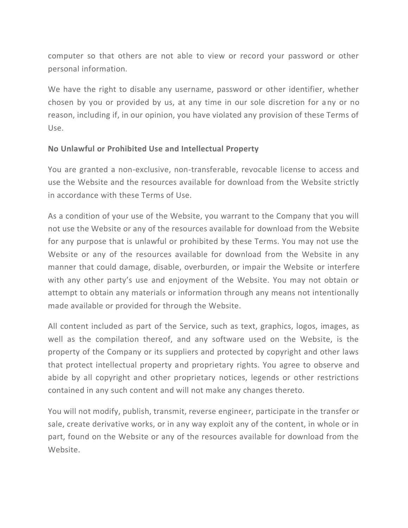computer so that others are not able to view or record your password or other personal information.

We have the right to disable any username, password or other identifier, whether chosen by you or provided by us, at any time in our sole discretion for any or no reason, including if, in our opinion, you have violated any provision of these Terms of Use.

## **No Unlawful or Prohibited Use and Intellectual Property**

You are granted a non-exclusive, non-transferable, revocable license to access and use the Website and the resources available for download from the Website strictly in accordance with these Terms of Use.

As a condition of your use of the Website, you warrant to the Company that you will not use the Website or any of the resources available for download from the Website for any purpose that is unlawful or prohibited by these Terms. You may not use the Website or any of the resources available for download from the Website in any manner that could damage, disable, overburden, or impair the Website or interfere with any other party's use and enjoyment of the Website. You may not obtain or attempt to obtain any materials or information through any means not intentionally made available or provided for through the Website.

All content included as part of the Service, such as text, graphics, logos, images, as well as the compilation thereof, and any software used on the Website, is the property of the Company or its suppliers and protected by copyright and other laws that protect intellectual property and proprietary rights. You agree to observe and abide by all copyright and other proprietary notices, legends or other restrictions contained in any such content and will not make any changes thereto.

You will not modify, publish, transmit, reverse engineer, participate in the transfer or sale, create derivative works, or in any way exploit any of the content, in whole or in part, found on the Website or any of the resources available for download from the Website.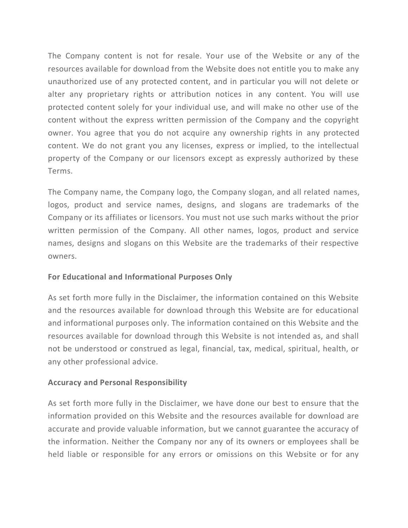The Company content is not for resale. Your use of the Website or any of the resources available for download from the Website does not entitle you to make any unauthorized use of any protected content, and in particular you will not delete or alter any proprietary rights or attribution notices in any content. You will use protected content solely for your individual use, and will make no other use of the content without the express written permission of the Company and the copyright owner. You agree that you do not acquire any ownership rights in any protected content. We do not grant you any licenses, express or implied, to the intellectual property of the Company or our licensors except as expressly authorized by these Terms.

The Company name, the Company logo, the Company slogan, and all related names, logos, product and service names, designs, and slogans are trademarks of the Company or its affiliates or licensors. You must not use such marks without the prior written permission of the Company. All other names, logos, product and service names, designs and slogans on this Website are the trademarks of their respective owners.

# **For Educational and Informational Purposes Only**

As set forth more fully in the Disclaimer, the information contained on this Website and the resources available for download through this Website are for educational and informational purposes only. The information contained on this Website and the resources available for download through this Website is not intended as, and shall not be understood or construed as legal, financial, tax, medical, spiritual, health, or any other professional advice.

## **Accuracy and Personal Responsibility**

As set forth more fully in the Disclaimer, we have done our best to ensure that the information provided on this Website and the resources available for download are accurate and provide valuable information, but we cannot guarantee the accuracy of the information. Neither the Company nor any of its owners or employees shall be held liable or responsible for any errors or omissions on this Website or for any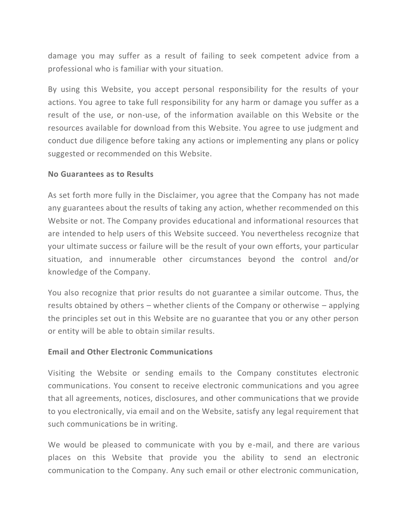damage you may suffer as a result of failing to seek competent advice from a professional who is familiar with your situation.

By using this Website, you accept personal responsibility for the results of your actions. You agree to take full responsibility for any harm or damage you suffer as a result of the use, or non-use, of the information available on this Website or the resources available for download from this Website. You agree to use judgment and conduct due diligence before taking any actions or implementing any plans or policy suggested or recommended on this Website.

#### **No Guarantees as to Results**

As set forth more fully in the Disclaimer, you agree that the Company has not made any guarantees about the results of taking any action, whether recommended on this Website or not. The Company provides educational and informational resources that are intended to help users of this Website succeed. You nevertheless recognize that your ultimate success or failure will be the result of your own efforts, your particular situation, and innumerable other circumstances beyond the control and/or knowledge of the Company.

You also recognize that prior results do not guarantee a similar outcome. Thus, the results obtained by others – whether clients of the Company or otherwise – applying the principles set out in this Website are no guarantee that you or any other person or entity will be able to obtain similar results.

## **Email and Other Electronic Communications**

Visiting the Website or sending emails to the Company constitutes electronic communications. You consent to receive electronic communications and you agree that all agreements, notices, disclosures, and other communications that we provide to you electronically, via email and on the Website, satisfy any legal requirement that such communications be in writing.

We would be pleased to communicate with you by e-mail, and there are various places on this Website that provide you the ability to send an electronic communication to the Company. Any such email or other electronic communication,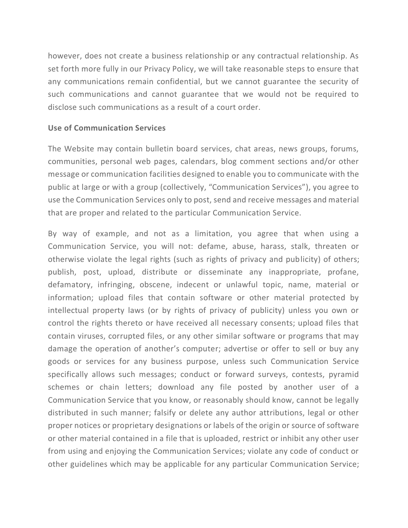however, does not create a business relationship or any contractual relationship. As set forth more fully in our Privacy Policy, we will take reasonable steps to ensure that any communications remain confidential, but we cannot guarantee the security of such communications and cannot guarantee that we would not be required to disclose such communications as a result of a court order.

## **Use of Communication Services**

The Website may contain bulletin board services, chat areas, news groups, forums, communities, personal web pages, calendars, blog comment sections and/or other message or communication facilities designed to enable you to communicate with the public at large or with a group (collectively, "Communication Services"), you agree to use the Communication Services only to post, send and receive messages and material that are proper and related to the particular Communication Service.

By way of example, and not as a limitation, you agree that when using a Communication Service, you will not: defame, abuse, harass, stalk, threaten or otherwise violate the legal rights (such as rights of privacy and publicity) of others; publish, post, upload, distribute or disseminate any inappropriate, profane, defamatory, infringing, obscene, indecent or unlawful topic, name, material or information; upload files that contain software or other material protected by intellectual property laws (or by rights of privacy of publicity) unless you own or control the rights thereto or have received all necessary consents; upload files that contain viruses, corrupted files, or any other similar software or programs that may damage the operation of another's computer; advertise or offer to sell or buy any goods or services for any business purpose, unless such Communication Service specifically allows such messages; conduct or forward surveys, contests, pyramid schemes or chain letters; download any file posted by another user of a Communication Service that you know, or reasonably should know, cannot be legally distributed in such manner; falsify or delete any author attributions, legal or other proper notices or proprietary designations or labels of the origin or source of software or other material contained in a file that is uploaded, restrict or inhibit any other user from using and enjoying the Communication Services; violate any code of conduct or other guidelines which may be applicable for any particular Communication Service;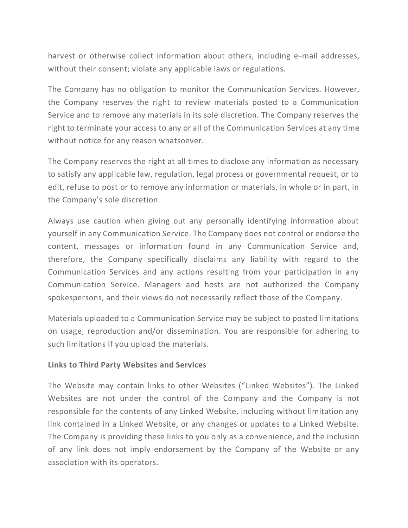harvest or otherwise collect information about others, including e-mail addresses, without their consent; violate any applicable laws or regulations.

The Company has no obligation to monitor the Communication Services. However, the Company reserves the right to review materials posted to a Communication Service and to remove any materials in its sole discretion. The Company reserves the right to terminate your access to any or all of the Communication Services at any time without notice for any reason whatsoever.

The Company reserves the right at all times to disclose any information as necessary to satisfy any applicable law, regulation, legal process or governmental request, or to edit, refuse to post or to remove any information or materials, in whole or in part, in the Company's sole discretion.

Always use caution when giving out any personally identifying information about yourself in any Communication Service. The Company does not control or endorse the content, messages or information found in any Communication Service and, therefore, the Company specifically disclaims any liability with regard to the Communication Services and any actions resulting from your participation in any Communication Service. Managers and hosts are not authorized the Company spokespersons, and their views do not necessarily reflect those of the Company.

Materials uploaded to a Communication Service may be subject to posted limitations on usage, reproduction and/or dissemination. You are responsible for adhering to such limitations if you upload the materials.

## **Links to Third Party Websites and Services**

The Website may contain links to other Websites ("Linked Websites"). The Linked Websites are not under the control of the Company and the Company is not responsible for the contents of any Linked Website, including without limitation any link contained in a Linked Website, or any changes or updates to a Linked Website. The Company is providing these links to you only as a convenience, and the inclusion of any link does not imply endorsement by the Company of the Website or any association with its operators.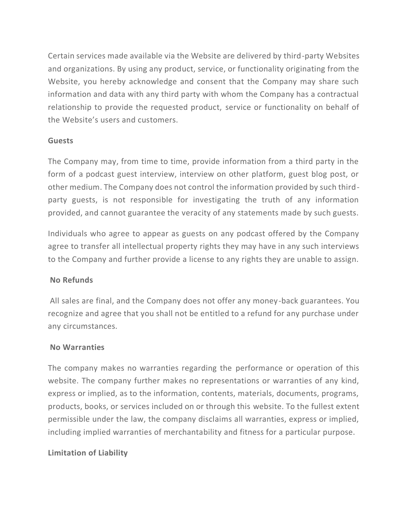Certain services made available via the Website are delivered by third-party Websites and organizations. By using any product, service, or functionality originating from the Website, you hereby acknowledge and consent that the Company may share such information and data with any third party with whom the Company has a contractual relationship to provide the requested product, service or functionality on behalf of the Website's users and customers.

## **Guests**

The Company may, from time to time, provide information from a third party in the form of a podcast guest interview, interview on other platform, guest blog post, or other medium. The Company does not control the information provided by such thirdparty guests, is not responsible for investigating the truth of any information provided, and cannot guarantee the veracity of any statements made by such guests.

Individuals who agree to appear as guests on any podcast offered by the Company agree to transfer all intellectual property rights they may have in any such interviews to the Company and further provide a license to any rights they are unable to assign.

# **No Refunds**

All sales are final, and the Company does not offer any money-back guarantees. You recognize and agree that you shall not be entitled to a refund for any purchase under any circumstances.

## **No Warranties**

The company makes no warranties regarding the performance or operation of this website. The company further makes no representations or warranties of any kind, express or implied, as to the information, contents, materials, documents, programs, products, books, or services included on or through this website. To the fullest extent permissible under the law, the company disclaims all warranties, express or implied, including implied warranties of merchantability and fitness for a particular purpose.

# **Limitation of Liability**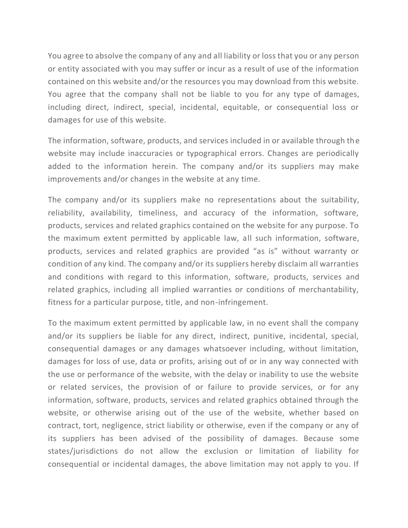You agree to absolve the company of any and all liability or loss that you or any person or entity associated with you may suffer or incur as a result of use of the information contained on this website and/or the resources you may download from this website. You agree that the company shall not be liable to you for any type of damages, including direct, indirect, special, incidental, equitable, or consequential loss or damages for use of this website.

The information, software, products, and services included in or available through the website may include inaccuracies or typographical errors. Changes are periodically added to the information herein. The company and/or its suppliers may make improvements and/or changes in the website at any time.

The company and/or its suppliers make no representations about the suitability, reliability, availability, timeliness, and accuracy of the information, software, products, services and related graphics contained on the website for any purpose. To the maximum extent permitted by applicable law, all such information, software, products, services and related graphics are provided "as is" without warranty or condition of any kind. The company and/or its suppliers hereby disclaim all warranties and conditions with regard to this information, software, products, services and related graphics, including all implied warranties or conditions of merchantability, fitness for a particular purpose, title, and non-infringement.

To the maximum extent permitted by applicable law, in no event shall the company and/or its suppliers be liable for any direct, indirect, punitive, incidental, special, consequential damages or any damages whatsoever including, without limitation, damages for loss of use, data or profits, arising out of or in any way connected with the use or performance of the website, with the delay or inability to use the website or related services, the provision of or failure to provide services, or for any information, software, products, services and related graphics obtained through the website, or otherwise arising out of the use of the website, whether based on contract, tort, negligence, strict liability or otherwise, even if the company or any of its suppliers has been advised of the possibility of damages. Because some states/jurisdictions do not allow the exclusion or limitation of liability for consequential or incidental damages, the above limitation may not apply to you. If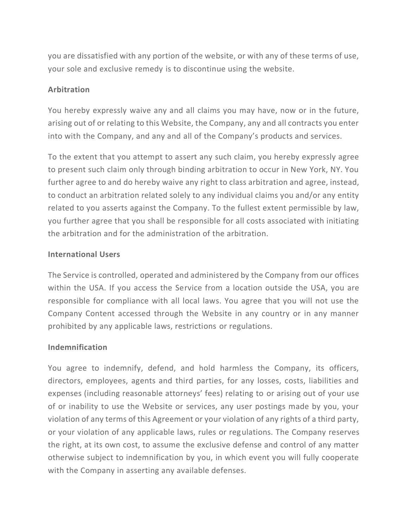you are dissatisfied with any portion of the website, or with any of these terms of use, your sole and exclusive remedy is to discontinue using the website.

## **Arbitration**

You hereby expressly waive any and all claims you may have, now or in the future, arising out of or relating to this Website, the Company, any and all contracts you enter into with the Company, and any and all of the Company's products and services.

To the extent that you attempt to assert any such claim, you hereby expressly agree to present such claim only through binding arbitration to occur in New York, NY. You further agree to and do hereby waive any right to class arbitration and agree, instead, to conduct an arbitration related solely to any individual claims you and/or any entity related to you asserts against the Company. To the fullest extent permissible by law, you further agree that you shall be responsible for all costs associated with initiating the arbitration and for the administration of the arbitration.

## **International Users**

The Service is controlled, operated and administered by the Company from our offices within the USA. If you access the Service from a location outside the USA, you are responsible for compliance with all local laws. You agree that you will not use the Company Content accessed through the Website in any country or in any manner prohibited by any applicable laws, restrictions or regulations.

## **Indemnification**

You agree to indemnify, defend, and hold harmless the Company, its officers, directors, employees, agents and third parties, for any losses, costs, liabilities and expenses (including reasonable attorneys' fees) relating to or arising out of your use of or inability to use the Website or services, any user postings made by you, your violation of any terms of this Agreement or your violation of any rights of a third party, or your violation of any applicable laws, rules or regulations. The Company reserves the right, at its own cost, to assume the exclusive defense and control of any matter otherwise subject to indemnification by you, in which event you will fully cooperate with the Company in asserting any available defenses.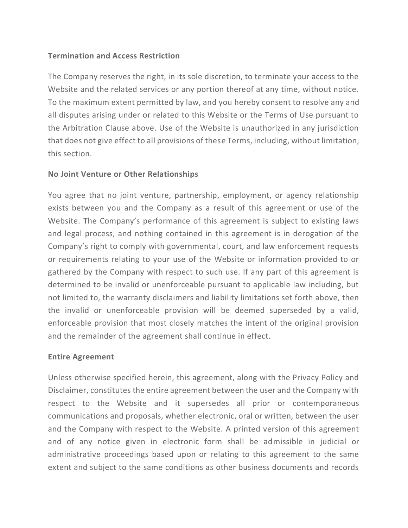## **Termination and Access Restriction**

The Company reserves the right, in its sole discretion, to terminate your access to the Website and the related services or any portion thereof at any time, without notice. To the maximum extent permitted by law, and you hereby consent to resolve any and all disputes arising under or related to this Website or the Terms of Use pursuant to the Arbitration Clause above. Use of the Website is unauthorized in any jurisdiction that does not give effect to all provisions of these Terms, including, without limitation, this section.

## **No Joint Venture or Other Relationships**

You agree that no joint venture, partnership, employment, or agency relationship exists between you and the Company as a result of this agreement or use of the Website. The Company's performance of this agreement is subject to existing laws and legal process, and nothing contained in this agreement is in derogation of the Company's right to comply with governmental, court, and law enforcement requests or requirements relating to your use of the Website or information provided to or gathered by the Company with respect to such use. If any part of this agreement is determined to be invalid or unenforceable pursuant to applicable law including, but not limited to, the warranty disclaimers and liability limitations set forth above, then the invalid or unenforceable provision will be deemed superseded by a valid, enforceable provision that most closely matches the intent of the original provision and the remainder of the agreement shall continue in effect.

## **Entire Agreement**

Unless otherwise specified herein, this agreement, along with the Privacy Policy and Disclaimer, constitutes the entire agreement between the user and the Company with respect to the Website and it supersedes all prior or contemporaneous communications and proposals, whether electronic, oral or written, between the user and the Company with respect to the Website. A printed version of this agreement and of any notice given in electronic form shall be admissible in judicial or administrative proceedings based upon or relating to this agreement to the same extent and subject to the same conditions as other business documents and records